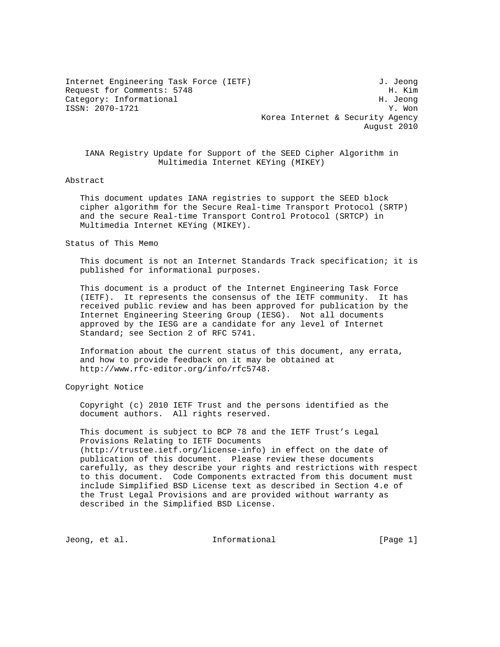Internet Engineering Task Force (IETF) 3. Jeong Request for Comments: 5748 H. Kim Category: Informational development of the state of the H. Jeong ISSN: 2070-1721 Y. Won Korea Internet & Security Agency August 2010

 IANA Registry Update for Support of the SEED Cipher Algorithm in Multimedia Internet KEYing (MIKEY)

## Abstract

 This document updates IANA registries to support the SEED block cipher algorithm for the Secure Real-time Transport Protocol (SRTP) and the secure Real-time Transport Control Protocol (SRTCP) in Multimedia Internet KEYing (MIKEY).

## Status of This Memo

 This document is not an Internet Standards Track specification; it is published for informational purposes.

 This document is a product of the Internet Engineering Task Force (IETF). It represents the consensus of the IETF community. It has received public review and has been approved for publication by the Internet Engineering Steering Group (IESG). Not all documents approved by the IESG are a candidate for any level of Internet Standard; see Section 2 of RFC 5741.

 Information about the current status of this document, any errata, and how to provide feedback on it may be obtained at http://www.rfc-editor.org/info/rfc5748.

Copyright Notice

 Copyright (c) 2010 IETF Trust and the persons identified as the document authors. All rights reserved.

 This document is subject to BCP 78 and the IETF Trust's Legal Provisions Relating to IETF Documents (http://trustee.ietf.org/license-info) in effect on the date of publication of this document. Please review these documents carefully, as they describe your rights and restrictions with respect to this document. Code Components extracted from this document must include Simplified BSD License text as described in Section 4.e of the Trust Legal Provisions and are provided without warranty as described in the Simplified BSD License.

Jeong, et al. 10. Informational 1. [Page 1]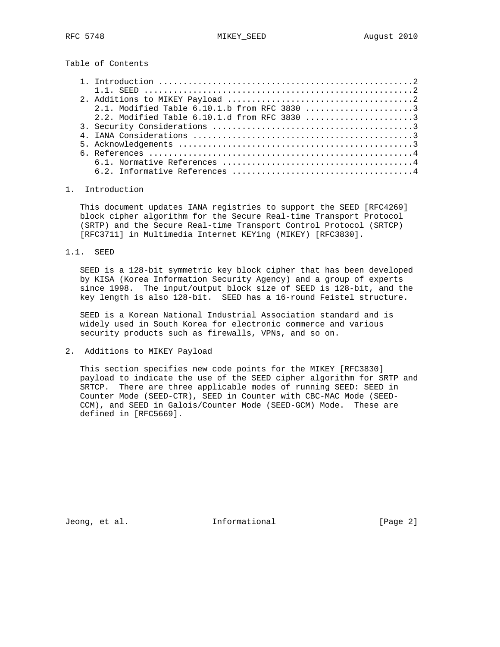Table of Contents

## 1. Introduction

 This document updates IANA registries to support the SEED [RFC4269] block cipher algorithm for the Secure Real-time Transport Protocol (SRTP) and the Secure Real-time Transport Control Protocol (SRTCP) [RFC3711] in Multimedia Internet KEYing (MIKEY) [RFC3830].

1.1. SEED

 SEED is a 128-bit symmetric key block cipher that has been developed by KISA (Korea Information Security Agency) and a group of experts since 1998. The input/output block size of SEED is 128-bit, and the key length is also 128-bit. SEED has a 16-round Feistel structure.

 SEED is a Korean National Industrial Association standard and is widely used in South Korea for electronic commerce and various security products such as firewalls, VPNs, and so on.

2. Additions to MIKEY Payload

 This section specifies new code points for the MIKEY [RFC3830] payload to indicate the use of the SEED cipher algorithm for SRTP and SRTCP. There are three applicable modes of running SEED: SEED in Counter Mode (SEED-CTR), SEED in Counter with CBC-MAC Mode (SEED- CCM), and SEED in Galois/Counter Mode (SEED-GCM) Mode. These are defined in [RFC5669].

Jeong, et al. 1nformational 1999 [Page 2]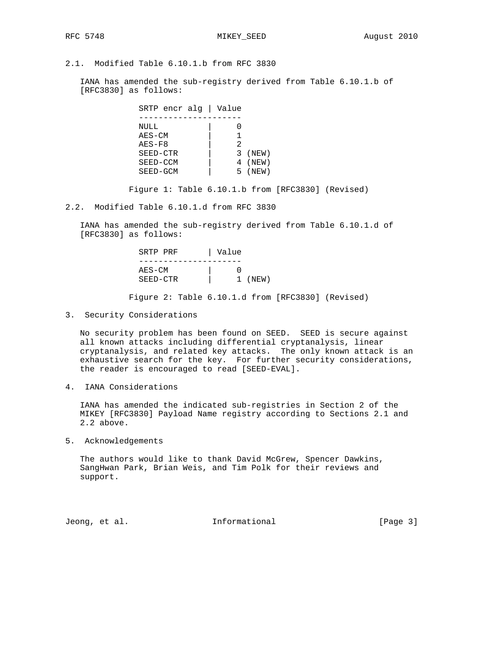2.1. Modified Table 6.10.1.b from RFC 3830

 IANA has amended the sub-registry derived from Table 6.10.1.b of [RFC3830] as follows:

| SRTP encr alg   Value  |       |
|------------------------|-------|
|                        |       |
| NULL                   |       |
| $AES-CM$               |       |
| $AES-F8$<br>2          |       |
| (NEW)<br>SEED-CTR<br>3 |       |
| 4 (NEW)<br>SEED-CCM    |       |
| SEED-GCM<br>5          | (NEW) |

Figure 1: Table 6.10.1.b from [RFC3830] (Revised)

2.2. Modified Table 6.10.1.d from RFC 3830

 IANA has amended the sub-registry derived from Table 6.10.1.d of [RFC3830] as follows:

|           | Value | SRTP PRF |
|-----------|-------|----------|
|           |       |          |
|           |       | $AES-CM$ |
| $1$ (NEW) |       | SEED-CTR |
|           |       |          |

Figure 2: Table 6.10.1.d from [RFC3830] (Revised)

3. Security Considerations

 No security problem has been found on SEED. SEED is secure against all known attacks including differential cryptanalysis, linear cryptanalysis, and related key attacks. The only known attack is an exhaustive search for the key. For further security considerations, the reader is encouraged to read [SEED-EVAL].

4. IANA Considerations

 IANA has amended the indicated sub-registries in Section 2 of the MIKEY [RFC3830] Payload Name registry according to Sections 2.1 and 2.2 above.

5. Acknowledgements

 The authors would like to thank David McGrew, Spencer Dawkins, SangHwan Park, Brian Weis, and Tim Polk for their reviews and support.

Jeong, et al. The Informational Theory [Page 3]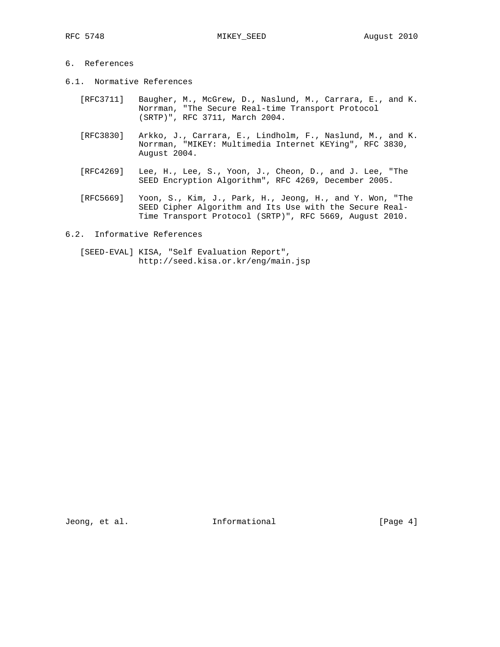## 6. References

- 6.1. Normative References
	- [RFC3711] Baugher, M., McGrew, D., Naslund, M., Carrara, E., and K. Norrman, "The Secure Real-time Transport Protocol (SRTP)", RFC 3711, March 2004.
	- [RFC3830] Arkko, J., Carrara, E., Lindholm, F., Naslund, M., and K. Norrman, "MIKEY: Multimedia Internet KEYing", RFC 3830, August 2004.
	- [RFC4269] Lee, H., Lee, S., Yoon, J., Cheon, D., and J. Lee, "The SEED Encryption Algorithm", RFC 4269, December 2005.
	- [RFC5669] Yoon, S., Kim, J., Park, H., Jeong, H., and Y. Won, "The SEED Cipher Algorithm and Its Use with the Secure Real- Time Transport Protocol (SRTP)", RFC 5669, August 2010.
- 6.2. Informative References
	- [SEED-EVAL] KISA, "Self Evaluation Report", http://seed.kisa.or.kr/eng/main.jsp

Jeong, et al. 1000 and 111 Informational 1000 and 1000 and 1000 and 1000 and 1000 and 1000 and 1000 and 1000 and 1000 and 1000 and 1000 and 1000 and 1000 and 1000 and 1000 and 1000 and 1000 and 1000 and 1000 and 1000 and 1